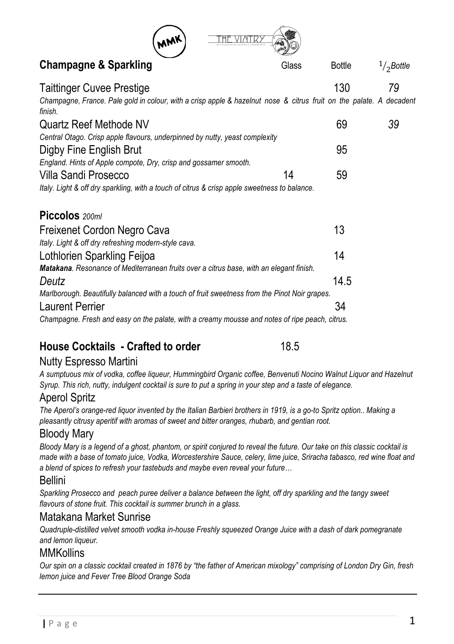

## **Champagne & Sparkling** Glass Bottle

| <b>Taittinger Cuvee Prestige</b>                                                                                               |    | 130  | 79 |  |
|--------------------------------------------------------------------------------------------------------------------------------|----|------|----|--|
| Champagne, France. Pale gold in colour, with a crisp apple & hazelnut nose & citrus fruit on the palate. A decadent<br>finish. |    |      |    |  |
| Quartz Reef Methode NV                                                                                                         |    | 69   | 39 |  |
| Central Otago. Crisp apple flavours, underpinned by nutty, yeast complexity                                                    |    |      |    |  |
| Digby Fine English Brut                                                                                                        |    | 95   |    |  |
| England. Hints of Apple compote, Dry, crisp and gossamer smooth.                                                               |    |      |    |  |
| Villa Sandi Prosecco                                                                                                           | 14 | 59   |    |  |
| Italy. Light & off dry sparkling, with a touch of citrus & crisp apple sweetness to balance.                                   |    |      |    |  |
|                                                                                                                                |    |      |    |  |
| Piccolos 200ml                                                                                                                 |    |      |    |  |
| Freixenet Cordon Negro Cava                                                                                                    |    | 13   |    |  |
| Italy. Light & off dry refreshing modern-style cava.                                                                           |    |      |    |  |
| Lothlorien Sparkling Feijoa                                                                                                    |    | 14   |    |  |
| <b>Matakana</b> . Resonance of Mediterranean fruits over a citrus base, with an elegant finish.                                |    |      |    |  |
| Deutz                                                                                                                          |    | 14.5 |    |  |
| Marlborough. Beautifully balanced with a touch of fruit sweetness from the Pinot Noir grapes.                                  |    |      |    |  |
| Laurent Perrier                                                                                                                |    | 34   |    |  |
| Champagne. Fresh and easy on the palate, with a creamy mousse and notes of ripe peach, citrus.                                 |    |      |    |  |
|                                                                                                                                |    |      |    |  |

## **House Cocktails - Crafted to order** 18.5

### Nutty Espresso Martini

*A sumptuous mix of vodka, coffee liqueur, Hummingbird Organic coffee, Benvenuti Nocino Walnut Liquor and Hazelnut Syrup. This rich, nutty, indulgent cocktail is sure to put a spring in your step and a taste of elegance.*

### Aperol Spritz

*The Aperol's orange-red liquor invented by the Italian Barbieri brothers in 1919, is a go-to Spritz option.. Making a pleasantly citrusy aperitif with aromas of sweet and bitter oranges, rhubarb, and gentian root.*

### Bloody Mary

*Bloody Mary is a legend of a ghost, phantom, or spirit conjured to reveal the future. Our take on this classic cocktail is made with a base of tomato juice, Vodka, Worcestershire Sauce, celery, lime juice, Sriracha tabasco, red wine float and a blend of spices to refresh your tastebuds and maybe even reveal your future…*

#### Bellini

*Sparkling Prosecco and peach puree deliver a balance between the light, off dry sparkling and the tangy sweet flavours of stone fruit. This cocktail is summer brunch in a glass.*

### Matakana Market Sunrise

*Quadruple-distilled velvet smooth vodka in-house Freshly squeezed Orange Juice with a dash of dark pomegranate and lemon liqueur.*

### **MMKollins**

*Our spin on a classic cocktail created in 1876 by "the father of American mixology" comprising of London Dry Gin, fresh lemon juice and Fever Tree Blood Orange Soda*

1/<sub>2</sub>Bottle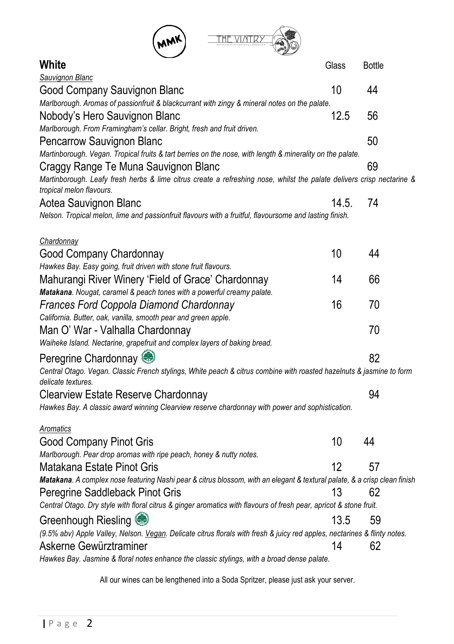

| <b>White</b>                                                                                                              | Glass | <b>Bottle</b> |
|---------------------------------------------------------------------------------------------------------------------------|-------|---------------|
| Sauvignon Blanc                                                                                                           |       |               |
| Good Company Sauvignon Blanc                                                                                              | 10    | 44            |
| Marlborough. Aromas of passionfruit & blackcurrant with zingy & mineral notes on the palate.                              |       |               |
| Nobody's Hero Sauvignon Blanc                                                                                             | 12.5  | 56            |
| Marlborough. From Framingham's cellar. Bright, fresh and fruit driven.                                                    |       |               |
| Pencarrow Sauvignon Blanc                                                                                                 |       | 50            |
| Martinborough. Vegan. Tropical fruits & tart berries on the nose, with length & minerality on the palate.                 |       |               |
| Craggy Range Te Muna Sauvignon Blanc                                                                                      |       | 69            |
| Martinborough. Leafy fresh herbs & lime citrus create a refreshing nose, whilst the palate delivers crisp nectarine &     |       |               |
| tropical melon flavours.                                                                                                  |       |               |
| Aotea Sauvignon Blanc                                                                                                     | 14.5. | 74            |
| Nelson. Tropical melon, lime and passionfruit flavours with a fruitful, flavoursome and lasting finish.                   |       |               |
|                                                                                                                           |       |               |
| Chardonnay                                                                                                                |       |               |
| Good Company Chardonnay                                                                                                   | 10    | 44            |
| Hawkes Bay. Easy going, fruit driven with stone fruit flavours.                                                           |       |               |
| Mahurangi River Winery 'Field of Grace' Chardonnay                                                                        | 14    | 66            |
| Matakana. Nougat, caramel & peach tones with a powerful creamy palate.                                                    |       |               |
| Frances Ford Coppola Diamond Chardonnay                                                                                   | 16    | 70            |
| California. Butter, oak, vanilla, smooth pear and green apple.                                                            |       |               |
| Man O' War - Valhalla Chardonnay                                                                                          |       | 70            |
| Waiheke Island. Nectarine, grapefruit and complex layers of baking bread.                                                 |       |               |
| Peregrine Chardonnay                                                                                                      |       | 82            |
| Central Otago. Vegan. Classic French stylings, White peach & citrus combine with roasted hazelnuts & jasmine to form      |       |               |
| delicate textures.                                                                                                        |       |               |
| Clearview Estate Reserve Chardonnay                                                                                       |       | 94            |
| Hawkes Bay. A classic award winning Clearview reserve chardonnay with power and sophistication.                           |       |               |
|                                                                                                                           |       |               |
| Aromatics                                                                                                                 |       |               |
| Good Company Pinot Gris                                                                                                   | 10    | 44            |
| Marlborough. Pear drop aromas with ripe peach, honey & nutty notes.                                                       |       |               |
| Matakana Estate Pinot Gris                                                                                                | 12    | 57            |
| Matakana. A complex nose featuring Nashi pear & citrus blossom, with an elegant & textural palate, & a crisp clean finish |       |               |
| Peregrine Saddleback Pinot Gris                                                                                           | 13    | 62            |
| Central Otago. Dry style with floral citrus & ginger aromatics with flavours of fresh pear, apricot & stone fruit.        |       |               |
| Greenhough Riesling                                                                                                       | 13.5  | 59            |
| (9.5% abv) Apple Valley, Nelson. Vegan. Delicate citrus florals with fresh & juicy red apples, nectarines & flinty notes. |       |               |
| Askerne Gewürztraminer                                                                                                    | 14    | 62            |
| Hawkes Bay. Jasmine & floral notes enhance the classic stylings, with a broad dense palate.                               |       |               |
|                                                                                                                           |       |               |

All our wines can be lengthened into a Soda Spritzer, please just ask your server.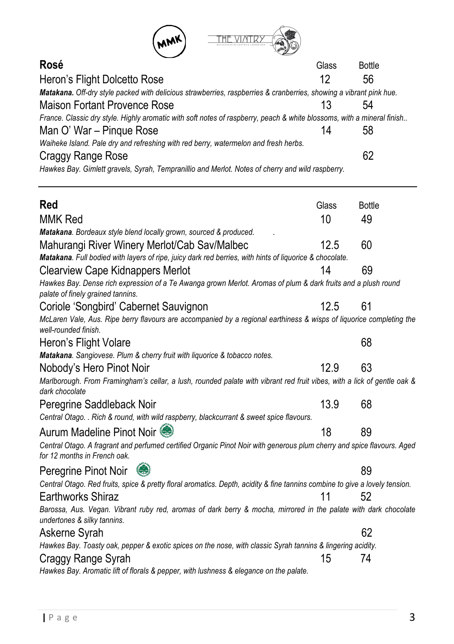| <b>MMK</b>                                                                                                                |       |               |
|---------------------------------------------------------------------------------------------------------------------------|-------|---------------|
| Rosé                                                                                                                      | Glass | <b>Bottle</b> |
| Heron's Flight Dolcetto Rose                                                                                              |       | 56            |
| <b>Matakana.</b> Off-dry style packed with delicious strawberries, raspberries & cranberries, showing a vibrant pink hue. |       |               |
| $\blacksquare$                                                                                                            |       |               |

| Maison Fortant Provence Rose                                                                                           |    | 54 |  |
|------------------------------------------------------------------------------------------------------------------------|----|----|--|
| France. Classic dry style. Highly aromatic with soft notes of raspberry, peach & white blossoms, with a mineral finish |    |    |  |
| Man O' War – Pingue Rose                                                                                               | 14 | 58 |  |
| Waiheke Island. Pale dry and refreshing with red berry, watermelon and fresh herbs.                                    |    |    |  |
| Craggy Range Rose                                                                                                      |    | 62 |  |

*Hawkes Bay. Gimlett gravels, Syrah, Tempranillio and Merlot. Notes of cherry and wild raspberry.*

| Red                                                                                                                                                    | Glass | <b>Bottle</b> |  |
|--------------------------------------------------------------------------------------------------------------------------------------------------------|-------|---------------|--|
| MMK Red                                                                                                                                                | 10    | 49            |  |
| Matakana. Bordeaux style blend locally grown, sourced & produced.                                                                                      |       |               |  |
| Mahurangi River Winery Merlot/Cab Sav/Malbec                                                                                                           | 12.5  | 60            |  |
| Matakana. Full bodied with layers of ripe, juicy dark red berries, with hints of liquorice & chocolate.                                                |       |               |  |
| <b>Clearview Cape Kidnappers Merlot</b>                                                                                                                | 14    | 69            |  |
| Hawkes Bay. Dense rich expression of a Te Awanga grown Merlot. Aromas of plum & dark fruits and a plush round<br>palate of finely grained tannins.     |       |               |  |
| Coriole 'Songbird' Cabernet Sauvignon                                                                                                                  | 12.5  | 61            |  |
| McLaren Vale, Aus. Ripe berry flavours are accompanied by a regional earthiness & wisps of liquorice completing the<br>well-rounded finish.            |       |               |  |
| Heron's Flight Volare                                                                                                                                  |       | 68            |  |
| Matakana. Sangiovese. Plum & cherry fruit with liquorice & tobacco notes.                                                                              |       |               |  |
| Nobody's Hero Pinot Noir                                                                                                                               | 12.9  | 63            |  |
| Marlborough. From Framingham's cellar, a lush, rounded palate with vibrant red fruit vibes, with a lick of gentle oak &<br>dark chocolate              |       |               |  |
| Peregrine Saddleback Noir                                                                                                                              | 13.9  | 68            |  |
| Central Otago. . Rich & round, with wild raspberry, blackcurrant & sweet spice flavours.                                                               |       |               |  |
| Aurum Madeline Pinot Noir                                                                                                                              | 18    | 89            |  |
| Central Otago. A fragrant and perfumed certified Organic Pinot Noir with generous plum cherry and spice flavours. Aged<br>for 12 months in French oak. |       |               |  |
| Peregrine Pinot Noir<br>GD                                                                                                                             |       | 89            |  |
| Central Otago. Red fruits, spice & pretty floral aromatics. Depth, acidity & fine tannins combine to give a lovely tension.                            |       |               |  |
| <b>Earthworks Shiraz</b>                                                                                                                               | 11    | 52            |  |
| Barossa, Aus. Vegan. Vibrant ruby red, aromas of dark berry & mocha, mirrored in the palate with dark chocolate<br>undertones & silky tannins.         |       |               |  |
| Askerne Syrah                                                                                                                                          |       | 62            |  |
| Hawkes Bay. Toasty oak, pepper & exotic spices on the nose, with classic Syrah tannins & lingering acidity.                                            |       |               |  |
| Craggy Range Syrah                                                                                                                                     | 15    | 74            |  |
| Hawkes Bay. Aromatic lift of florals & pepper, with lushness & elegance on the palate.                                                                 |       |               |  |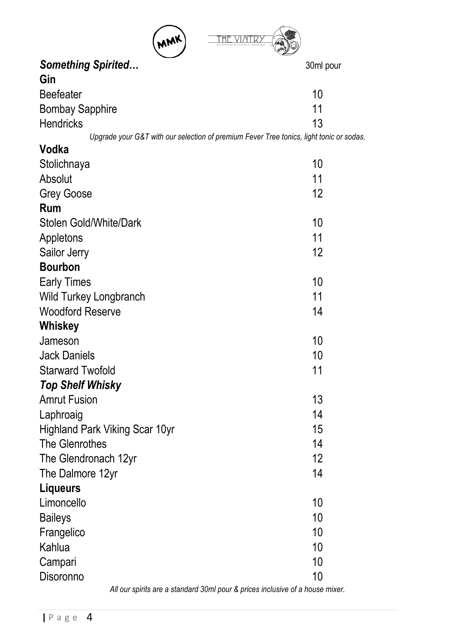

| something spirited                                                                      | 30mi pour |
|-----------------------------------------------------------------------------------------|-----------|
| Gin                                                                                     |           |
| <b>Beefeater</b>                                                                        | 10        |
| <b>Bombay Sapphire</b>                                                                  | 11        |
| <b>Hendricks</b>                                                                        | 13        |
| Upgrade your G&T with our selection of premium Fever Tree tonics, light tonic or sodas. |           |
| Vodka                                                                                   |           |
| Stolichnaya                                                                             | 10        |
| Absolut                                                                                 | 11        |
| Grey Goose                                                                              | 12        |
| <b>Rum</b>                                                                              |           |
| Stolen Gold/White/Dark                                                                  | 10        |
| Appletons                                                                               | 11        |
| Sailor Jerry                                                                            | 12        |
| <b>Bourbon</b>                                                                          |           |
| <b>Early Times</b>                                                                      | 10        |
| Wild Turkey Longbranch                                                                  | 11        |
| <b>Woodford Reserve</b>                                                                 | 14        |
| Whiskey                                                                                 |           |
| Jameson                                                                                 | 10        |
| <b>Jack Daniels</b>                                                                     | 10        |
| <b>Starward Twofold</b>                                                                 | 11        |
| <b>Top Shelf Whisky</b>                                                                 |           |
| <b>Amrut Fusion</b>                                                                     | 13        |
| Laphroaig                                                                               | 14        |
| Highland Park Viking Scar 10yr                                                          | 15        |
| The Glenrothes                                                                          | 14        |
| The Glendronach 12yr                                                                    | 12        |
| The Dalmore 12yr                                                                        | 14        |
| Liqueurs                                                                                |           |
| Limoncello                                                                              | 10        |
| <b>Baileys</b>                                                                          | 10        |
| Frangelico                                                                              | 10        |
| Kahlua                                                                                  | 10        |
| Campari                                                                                 | 10        |
| Disoronno                                                                               | 10        |
|                                                                                         |           |

*All our spirits are a standard 30ml pour & prices inclusive of a house mixer.*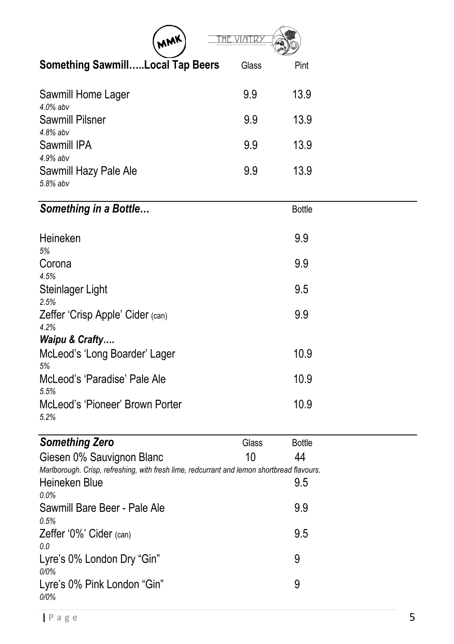| MWK                                                                                        |       |               |
|--------------------------------------------------------------------------------------------|-------|---------------|
| <b>Something SawmillLocal Tap Beers</b>                                                    | Glass | Pint          |
| Sawmill Home Lager<br>$4.0\%$ abv                                                          | 9.9   | 13.9          |
| <b>Sawmill Pilsner</b><br>4.8% abv                                                         | 9.9   | 13.9          |
| Sawmill IPA                                                                                | 9.9   | 13.9          |
| 4.9% abv<br>Sawmill Hazy Pale Ale<br>5.8% abv                                              | 9.9   | 13.9          |
| Something in a Bottle                                                                      |       | <b>Bottle</b> |
| Heineken                                                                                   |       | 9.9           |
| 5%<br>Corona<br>4.5%                                                                       |       | 9.9           |
| Steinlager Light<br>2.5%                                                                   |       | 9.5           |
| Zeffer 'Crisp Apple' Cider (can)<br>4.2%                                                   |       | 9.9           |
| Waipu & Crafty<br>McLeod's 'Long Boarder' Lager<br>5%                                      |       | 10.9          |
| McLeod's 'Paradise' Pale Ale<br>5.5%                                                       |       | 10.9          |
| McLeod's 'Pioneer' Brown Porter<br>5.2%                                                    |       | 10.9          |
| <b>Something Zero</b>                                                                      | Glass | <b>Bottle</b> |
| Giesen 0% Sauvignon Blanc                                                                  | 10    | 44            |
| Marlborough. Crisp, refreshing, with fresh lime, redcurrant and lemon shortbread flavours. |       |               |
| Heineken Blue                                                                              |       | 9.5           |
| 0.0%                                                                                       |       |               |
| Sawmill Bare Beer - Pale Ale<br>0.5%                                                       |       | 9.9           |
| Zeffer '0%' Cider (can)<br>0.0                                                             |       | 9.5           |
| Lyre's 0% London Dry "Gin"<br>0/0%                                                         |       | 9             |
| Lyre's 0% Pink London "Gin"<br>0/0%                                                        |       | 9             |